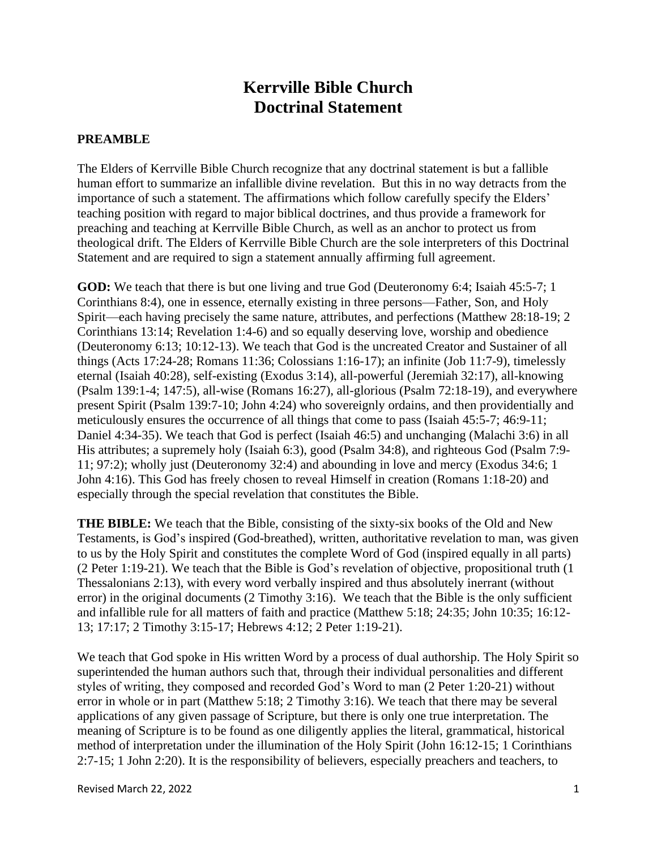## **Kerrville Bible Church Doctrinal Statement**

## **PREAMBLE**

The Elders of Kerrville Bible Church recognize that any doctrinal statement is but a fallible human effort to summarize an infallible divine revelation. But this in no way detracts from the importance of such a statement. The affirmations which follow carefully specify the Elders' teaching position with regard to major biblical doctrines, and thus provide a framework for preaching and teaching at Kerrville Bible Church, as well as an anchor to protect us from theological drift. The Elders of Kerrville Bible Church are the sole interpreters of this Doctrinal Statement and are required to sign a statement annually affirming full agreement.

**GOD:** We teach that there is but one living and true God (Deuteronomy 6:4; Isaiah 45:5-7; 1 Corinthians 8:4), one in essence, eternally existing in three persons—Father, Son, and Holy Spirit—each having precisely the same nature, attributes, and perfections (Matthew 28:18-19; 2 Corinthians 13:14; Revelation 1:4-6) and so equally deserving love, worship and obedience (Deuteronomy 6:13; 10:12-13). We teach that God is the uncreated Creator and Sustainer of all things (Acts 17:24-28; Romans 11:36; Colossians 1:16-17); an infinite (Job 11:7-9), timelessly eternal (Isaiah 40:28), self-existing (Exodus 3:14), all-powerful (Jeremiah 32:17), all-knowing (Psalm 139:1-4; 147:5), all-wise (Romans 16:27), all-glorious (Psalm 72:18-19), and everywhere present Spirit (Psalm 139:7-10; John 4:24) who sovereignly ordains, and then providentially and meticulously ensures the occurrence of all things that come to pass (Isaiah 45:5-7; 46:9-11; Daniel 4:34-35). We teach that God is perfect (Isaiah 46:5) and unchanging (Malachi 3:6) in all His attributes; a supremely holy (Isaiah 6:3), good (Psalm 34:8), and righteous God (Psalm 7:9- 11; 97:2); wholly just (Deuteronomy 32:4) and abounding in love and mercy (Exodus 34:6; 1 John 4:16). This God has freely chosen to reveal Himself in creation (Romans 1:18-20) and especially through the special revelation that constitutes the Bible.

**THE BIBLE:** We teach that the Bible, consisting of the sixty-six books of the Old and New Testaments, is God's inspired (God-breathed), written, authoritative revelation to man, was given to us by the Holy Spirit and constitutes the complete Word of God (inspired equally in all parts) (2 Peter 1:19-21). We teach that the Bible is God's revelation of objective, propositional truth (1 Thessalonians 2:13), with every word verbally inspired and thus absolutely inerrant (without error) in the original documents (2 Timothy 3:16). We teach that the Bible is the only sufficient and infallible rule for all matters of faith and practice (Matthew 5:18; 24:35; John 10:35; 16:12- 13; 17:17; 2 Timothy 3:15-17; Hebrews 4:12; 2 Peter 1:19-21).

We teach that God spoke in His written Word by a process of dual authorship. The Holy Spirit so superintended the human authors such that, through their individual personalities and different styles of writing, they composed and recorded God's Word to man (2 Peter 1:20-21) without error in whole or in part (Matthew 5:18; 2 Timothy 3:16). We teach that there may be several applications of any given passage of Scripture, but there is only one true interpretation. The meaning of Scripture is to be found as one diligently applies the literal, grammatical, historical method of interpretation under the illumination of the Holy Spirit (John 16:12-15; 1 Corinthians 2:7-15; 1 John 2:20). It is the responsibility of believers, especially preachers and teachers, to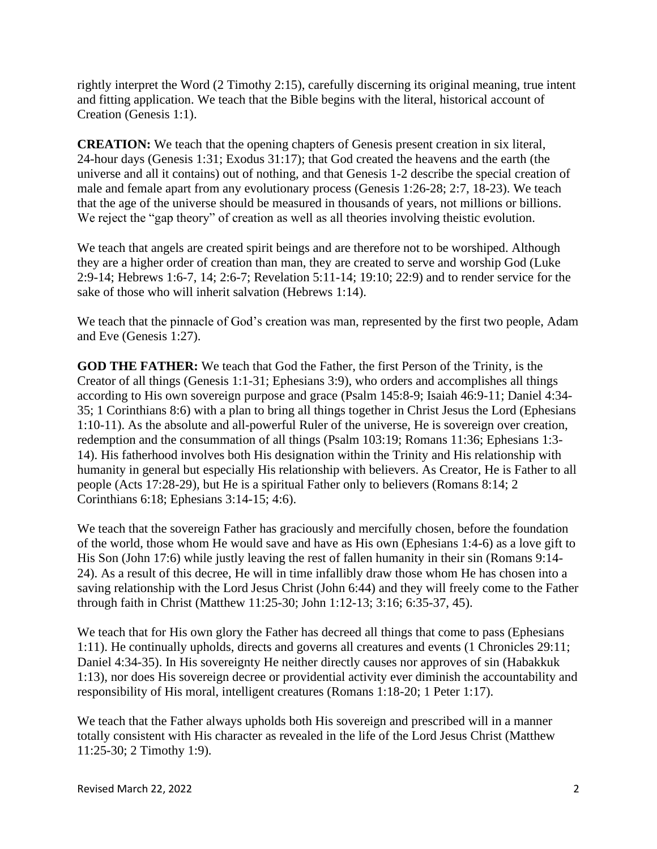rightly interpret the Word (2 Timothy 2:15), carefully discerning its original meaning, true intent and fitting application. We teach that the Bible begins with the literal, historical account of Creation (Genesis 1:1).

**CREATION:** We teach that the opening chapters of Genesis present creation in six literal, 24-hour days (Genesis 1:31; Exodus 31:17); that God created the heavens and the earth (the universe and all it contains) out of nothing, and that Genesis 1-2 describe the special creation of male and female apart from any evolutionary process (Genesis 1:26-28; 2:7, 18-23). We teach that the age of the universe should be measured in thousands of years, not millions or billions. We reject the "gap theory" of creation as well as all theories involving theistic evolution.

We teach that angels are created spirit beings and are therefore not to be worshiped. Although they are a higher order of creation than man, they are created to serve and worship God [\(Luke](https://biblia.com/bible/esv/Luke%202.9-14)  [2:9-14;](https://biblia.com/bible/esv/Luke%202.9-14) [Hebrews 1:6-7,](https://biblia.com/bible/esv/Heb%201.6-7) [14;](https://biblia.com/bible/esv/Hebrews%201.14) [2:6-7;](https://biblia.com/bible/esv/Hebrews%202.6-7) [Revelation 5:11-14;](https://biblia.com/bible/esv/Rev%205.11-14) [19:10;](https://biblia.com/bible/esv/Revelation%2019.10) [22:9\)](https://biblia.com/bible/esv/Revelation%2022.9) and to render service for the sake of those who will inherit salvation (Hebrews 1:14).

We teach that the pinnacle of God's creation was man, represented by the first two people, Adam and Eve (Genesis 1:27).

**GOD THE FATHER:** We teach that God the Father, the first Person of the Trinity, is the Creator of all things (Genesis 1:1-31; Ephesians 3:9), who orders and accomplishes all things according to His own sovereign purpose and grace (Psalm 145:8-9; Isaiah 46:9-11; Daniel 4:34- 35; 1 Corinthians 8:6) with a plan to bring all things together in Christ Jesus the Lord (Ephesians 1:10-11). As the absolute and all-powerful Ruler of the universe, He is sovereign over creation, redemption and the consummation of all things (Psalm 103:19; Romans 11:36; Ephesians 1:3- 14). His fatherhood involves both His designation within the Trinity and His relationship with humanity in general but especially His relationship with believers. As Creator, He is Father to all people (Acts 17:28-29), but He is a spiritual Father only to believers (Romans 8:14; 2 Corinthians 6:18; Ephesians 3:14-15; 4:6).

We teach that the sovereign Father has graciously and mercifully chosen, before the foundation of the world, those whom He would save and have as His own (Ephesians 1:4-6) as a love gift to His Son (John 17:6) while justly leaving the rest of fallen humanity in their sin (Romans 9:14- 24). As a result of this decree, He will in time infallibly draw those whom He has chosen into a saving relationship with the Lord Jesus Christ (John 6:44) and they will freely come to the Father through faith in Christ (Matthew 11:25-30; John 1:12-13; 3:16; 6:35-37, 45).

We teach that for His own glory the Father has decreed all things that come to pass (Ephesians 1:11). He continually upholds, directs and governs all creatures and events (1 Chronicles 29:11; Daniel 4:34-35). In His sovereignty He neither directly causes nor approves of sin (Habakkuk 1:13), nor does His sovereign decree or providential activity ever diminish the accountability and responsibility of His moral, intelligent creatures (Romans 1:18-20; 1 Peter 1:17).

We teach that the Father always upholds both His sovereign and prescribed will in a manner totally consistent with His character as revealed in the life of the Lord Jesus Christ (Matthew 11:25-30; 2 Timothy 1:9).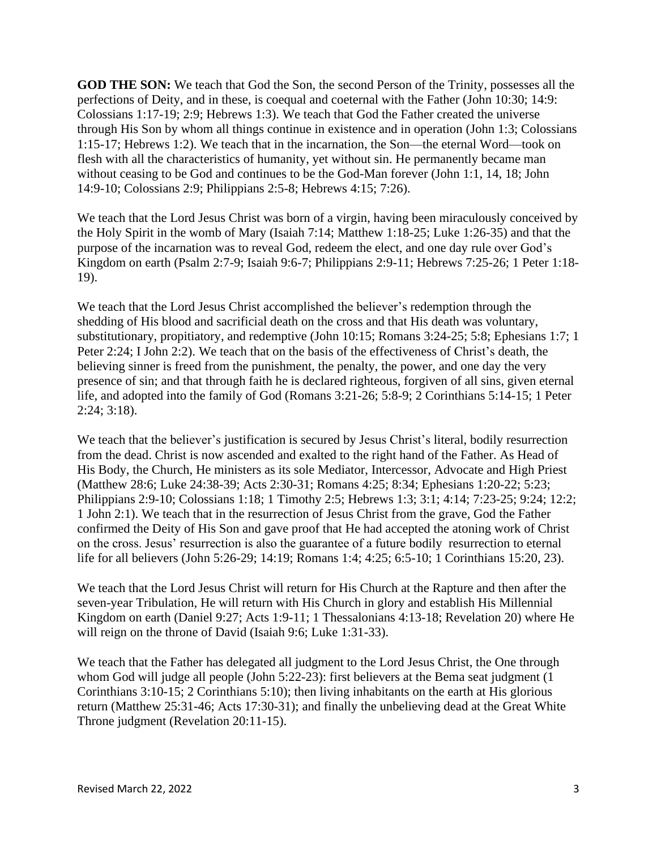**GOD THE SON:** We teach that God the Son, the second Person of the Trinity, possesses all the perfections of Deity, and in these, is coequal and coeternal with the Father [\(John 10:30;](https://biblia.com/bible/esv/John%2010.30) [14:9:](https://biblia.com/bible/esv/John%2014.9) Colossians 1:17-19; 2:9; Hebrews 1:3). We teach that God the Father created the universe through His Son by whom all things continue in existence and in operation [\(John 1:3;](https://biblia.com/bible/esv/John%201.3) [Colossians](https://biblia.com/bible/esv/Col%201.15-17)  [1:15-17;](https://biblia.com/bible/esv/Col%201.15-17) [Hebrews 1:2\)](https://biblia.com/bible/esv/Heb%201.2). We teach that in the incarnation, the Son—the eternal Word—took on flesh with all the characteristics of humanity, yet without sin. He permanently became man without ceasing to be God and continues to be the God-Man forever (John 1:1, 14, 18; John 14:9-10; Colossians 2:9; [Philippians 2:5-8;](https://biblia.com/bible/esv/Phil%202.5-8) Hebrews 4:15; 7:26).

We teach that the Lord Jesus Christ was born of a virgin, having been miraculously conceived by the Holy Spirit in the womb of Mary [\(Isaiah 7:14;](https://biblia.com/bible/esv/Isa%207.14) [Matthew 1:18-25;](https://biblia.com/bible/esv/Matt%201.23) [Luke 1:26-35\)](https://biblia.com/bible/esv/Luke%201.26-35) and that the purpose of the incarnation was to reveal God, redeem the elect, and one day rule over God's Kingdom on earth [\(Psalm 2:7-9;](https://biblia.com/bible/esv/Ps%202.7-9) [Isaiah 9:6-](https://biblia.com/bible/esv/Isa%209.6)7; [Philippians 2:9-11;](https://biblia.com/bible/esv/Phil%202.9-11) [Hebrews 7:25-26;](https://biblia.com/bible/esv/Heb%207.25-26) [1 Peter 1:18-](https://biblia.com/bible/esv/1%20Pet%201.18-19) [19\)](https://biblia.com/bible/esv/1%20Pet%201.18-19).

We teach that the Lord Jesus Christ accomplished the believer's redemption through the shedding of His blood and sacrificial death on the cross and that His death was voluntary, substitutionary, propitiatory, and redemptive [\(John 10:15;](https://biblia.com/bible/esv/John%2010.15) [Romans 3:24-25;](https://biblia.com/bible/esv/Rom%203.24-25) [5:8;](https://biblia.com/bible/esv/Romans%205.8) Ephesians 1:7; [1](https://biblia.com/bible/esv/1%20Pet%202.24)  [Peter 2:24;](https://biblia.com/bible/esv/1%20Pet%202.24) I John 2:2). We teach that on the basis of the effectiveness of Christ's death, the believing sinner is freed from the punishment, the penalty, the power, and one day the very presence of sin; and that through faith he is declared righteous, forgiven of all sins, given eternal life, and adopted into the family of God [\(Romans 3:21-26;](https://biblia.com/bible/esv/Rom%203.25) [5:8-9;](https://biblia.com/bible/esv/Romans%205.8-9) [2 Corinthians 5:14-15;](https://biblia.com/bible/esv/2%20Cor%205.14-15) [1 Peter](https://biblia.com/bible/esv/1%20Pet%202.24)  [2:24;](https://biblia.com/bible/esv/1%20Pet%202.24) [3:18\)](https://biblia.com/bible/esv/1%20Peter%203.18).

We teach that the believer's justification is secured by Jesus Christ's literal, bodily resurrection from the dead. Christ is now ascended and exalted to the right hand of the Father. As Head of His Body, the Church, He ministers as its sole Mediator, Intercessor, Advocate and High Priest [\(Matthew 28:6;](https://biblia.com/bible/esv/Matt%2028.6) [Luke 24:38-39;](https://biblia.com/bible/esv/Luke%2024.38-39) [Acts 2:30-31;](https://biblia.com/bible/esv/Acts%202.30-31) [Romans 4:25;](https://biblia.com/bible/esv/Rom%204.25) [8:34;](https://biblia.com/bible/esv/Romans%208.34) Ephesians 1:20-22; 5:23; Philippians 2:9-10; Colossians 1:18; 1 Timothy 2:5; [Hebrews 1:3; 3:1; 4:14; 7:23-25;](https://biblia.com/bible/esv/Heb%207.25) [9:24;](https://biblia.com/bible/esv/Hebrews%209.24) 12:2; [1 John 2:1\)](https://biblia.com/bible/esv/1%20John%202.1). We teach that in the resurrection of Jesus Christ from the grave, God the Father confirmed the Deity of His Son and gave proof that He had accepted the atoning work of Christ on the cross. Jesus' resurrection is also the guarantee of a future bodily resurrection to eternal life for all believers [\(John 5:26-29;](https://biblia.com/bible/esv/John%205.26-29) [14:19;](https://biblia.com/bible/esv/John%2014.19) [Romans 1:4;](https://biblia.com/bible/esv/Rom%201.4) [4:25;](https://biblia.com/bible/esv/Romans%204.25) [6:5-10;](https://biblia.com/bible/esv/Romans%206.5-10) [1 Corinthians 15:20,](https://biblia.com/bible/esv/1%20Cor%2015.20) [23\)](https://biblia.com/bible/esv/1%20Corinthians%2015.23).

We teach that the Lord Jesus Christ will return for His Church at the Rapture and then after the seven-year Tribulation, He will return with His Church in glory and establish His Millennial Kingdom on earth (Daniel 9:27; [Acts 1:9-11;](https://biblia.com/bible/esv/Acts%201.9-11) [1 Thessalonians 4:13-18;](https://biblia.com/bible/esv/1%20Thess%204.13-18) Revelation 20) where He will reign on the throne of David (Isaiah 9:6; Luke 1:31-33).

We teach that the Father has delegated all judgment to the Lord Jesus Christ, the One through whom God will judge all people [\(John 5:22-23\)](https://biblia.com/bible/esv/John%205.22-23): first believers at the Bema seat judgment [\(1](https://biblia.com/bible/esv/1%20Cor%203.10-15)  [Corinthians 3:10-15;](https://biblia.com/bible/esv/1%20Cor%203.10-15) [2 Corinthians 5:10\)](https://biblia.com/bible/esv/2%20Cor%205.10); then living inhabitants on the earth at His glorious return [\(Matthew 25:31-46;](https://biblia.com/bible/esv/Matt%2025.31-46) Acts 17:30-31); and finally the unbelieving dead at the Great White Throne judgment [\(Revelation 20:11-15\)](https://biblia.com/bible/esv/Rev%2020.11-15).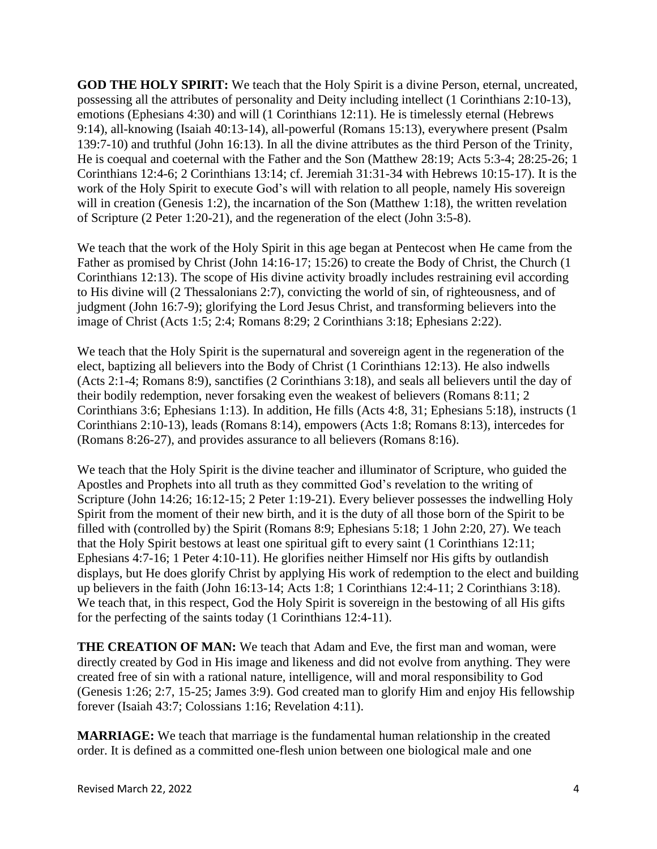**GOD THE HOLY SPIRIT:** We teach that the Holy Spirit is a divine Person, eternal, uncreated, possessing all the attributes of personality and Deity including intellect [\(1 Corinthians 2:10-13\)](https://biblia.com/bible/esv/1%20Cor%202.10-13), emotions [\(Ephesians 4:30\)](https://biblia.com/bible/esv/Eph%204.30) and will [\(1 Corinthians 12:11\)](https://biblia.com/bible/esv/1%20Cor%2012.11). He is timelessly eternal [\(Hebrews](https://biblia.com/bible/esv/Heb%209.14)  [9:14\)](https://biblia.com/bible/esv/Heb%209.14), all-knowing (Isaiah 40:13-14), all-powerful (Romans 15:13), everywhere present [\(Psalm](https://biblia.com/bible/esv/Ps%20139.7-10)  [139:7-10\)](https://biblia.com/bible/esv/Ps%20139.7-10) and truthful [\(John 16:13\)](https://biblia.com/bible/esv/John%2016.13). In all the divine attributes as the third Person of the Trinity, He is coequal and coeternal with the Father and the Son [\(Matthew 28:19;](https://biblia.com/bible/esv/Matt%2028.19) [Acts 5:3-4;](https://biblia.com/bible/esv/Acts%205.3-4) [28:25-26;](https://biblia.com/bible/esv/Acts%2028.25-26) [1](https://biblia.com/bible/esv/1%20Cor%2012.4-6)  [Corinthians 12:4-6;](https://biblia.com/bible/esv/1%20Cor%2012.4-6) [2 Corinthians 13:14;](https://biblia.com/bible/esv/2%20Cor%2013.14) cf. [Jeremiah 31:31-](https://biblia.com/bible/esv/Jer%2031.31)[34](https://biblia.com/bible/esv/Jeremiah%2031.34) with [Hebrews 10:15-17\)](https://biblia.com/bible/esv/Heb%2010.15-17). It is the work of the Holy Spirit to execute God's will with relation to all people, namely His sovereign will in creation [\(Genesis 1:2\)](https://biblia.com/bible/esv/Gen%201.2), the incarnation of the Son [\(Matthew 1:18\)](https://biblia.com/bible/esv/Matt%201.18), the written revelation of Scripture [\(2 Peter 1:20-21\)](https://biblia.com/bible/esv/2%20Pet%201.20-21), and the regeneration of the elect (John 3:5-8).

We teach that the work of the Holy Spirit in this age began at Pentecost when He came from the Father as promised by Christ [\(John 14:16-17;](https://biblia.com/bible/esv/John%2014.16-17) [15:26\)](https://biblia.com/bible/esv/John%2015.26) to create the Body of Christ, the Church [\(1](https://biblia.com/bible/esv/1%20Cor%2012.13)  [Corinthians 12:13\)](https://biblia.com/bible/esv/1%20Cor%2012.13). The scope of His divine activity broadly includes restraining evil according to His divine will (2 Thessalonians 2:7), convicting the world of sin, of righteousness, and of judgment (John 16:7-9); glorifying the Lord Jesus Christ, and transforming believers into the image of Christ [\(Acts 1:5;](https://biblia.com/bible/esv/Acts%201.5) [2:4;](https://biblia.com/bible/esv/Acts%202.4) [Romans 8:29;](https://biblia.com/bible/esv/Rom%208.29) [2 Corinthians 3:18;](https://biblia.com/bible/esv/2%20Cor%203.18) [Ephesians 2:22\)](https://biblia.com/bible/esv/Eph%202.22).

We teach that the Holy Spirit is the supernatural and sovereign agent in the regeneration of the elect, baptizing all believers into the Body of Christ [\(1 Corinthians 12:13\)](https://biblia.com/bible/esv/1%20Cor%2012.13). He also indwells (Acts 2:1-4; Romans 8:9), sanctifies (2 Corinthians 3:18), and seals all believers until the day of their bodily redemption, never forsaking even the weakest of believers [\(Romans 8:11;](https://biblia.com/bible/esv/Rom%208.9) [2](https://biblia.com/bible/esv/2%20Cor%203.6)  [Corinthians 3:6;](https://biblia.com/bible/esv/2%20Cor%203.6) [Ephesians 1:13\)](https://biblia.com/bible/esv/Eph%201.13). In addition, He fills (Acts 4:8, 31; Ephesians 5:18), instructs (1 Corinthians 2:10-13), leads (Romans 8:14), empowers (Acts 1:8; Romans 8:13), intercedes for (Romans 8:26-27), and provides assurance to all believers (Romans 8:16).

We teach that the Holy Spirit is the divine teacher and illuminator of Scripture, who guided the Apostles and Prophets into all truth as they committed God's revelation to the writing of Scripture (John 14:26; 16:12-15; 2 Peter 1:19-21). Every believer possesses the indwelling Holy Spirit from the moment of their new birth, and it is the duty of all those born of the Spirit to be filled with (controlled by) the Spirit [\(Romans 8:9;](https://biblia.com/bible/esv/Rom%208.9) [Ephesians 5:18;](https://biblia.com/bible/esv/Eph%205.18) [1 John 2:20,](https://biblia.com/bible/esv/1%20John%202.20) [27\)](https://biblia.com/bible/esv/1%20John%202.27). We teach that the Holy Spirit bestows at least one spiritual gift to every saint (1 Corinthians 12:11; Ephesians 4:7-16; 1 Peter 4:10-11). He glorifies neither Himself nor His gifts by outlandish displays, but He does glorify Christ by applying His work of redemption to the elect and building up believers in the faith [\(John 16:13-14;](https://biblia.com/bible/esv/John%2016.13-14) [Acts 1:8;](https://biblia.com/bible/esv/Acts%201.8) [1 Corinthians 12:4-11;](https://biblia.com/bible/esv/1%20Cor%2012.4-11) [2 Corinthians 3:18\)](https://biblia.com/bible/esv/2%20Cor%203.18). We teach that, in this respect, God the Holy Spirit is sovereign in the bestowing of all His gifts for the perfecting of the saints today (1 Corinthians 12:4-11).

**THE CREATION OF MAN:** We teach that Adam and Eve, the first man and woman, were directly created by God in His image and likeness and did not evolve from anything. They were created free of sin with a rational nature, intelligence, will and moral responsibility to God [\(Genesis 1:26; 2:7,](https://biblia.com/bible/esv/Gen%202.7) [15-25;](https://biblia.com/bible/esv/Genesis%202.15-25) [James 3:9\)](https://biblia.com/bible/esv/James%203.9). God created man to glorify Him and enjoy His fellowship forever [\(Isaiah 43:7;](https://biblia.com/bible/esv/Isa%2043.7) [Colossians 1:16;](https://biblia.com/bible/esv/Col%201.16) [Revelation 4:11\)](https://biblia.com/bible/esv/Rev%204.11).

**MARRIAGE:** We teach that marriage is the fundamental human relationship in the created order. It is defined as a committed one-flesh union between one biological male and one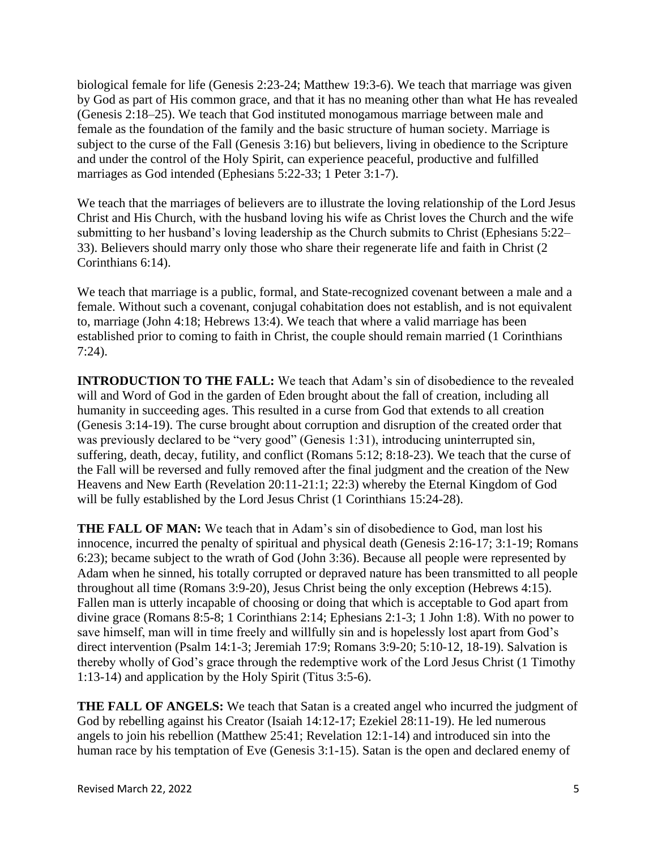biological female for life (Genesis 2:23-24; Matthew 19:3-6). We teach that marriage was given by God as part of His common grace, and that it has no meaning other than what He has revealed (Genesis 2:18–25). We teach that God instituted monogamous marriage between male and female as the foundation of the family and the basic structure of human society. Marriage is subject to the curse of the Fall (Genesis 3:16) but believers, living in obedience to the Scripture and under the control of the Holy Spirit, can experience peaceful, productive and fulfilled marriages as God intended (Ephesians 5:22-33; 1 Peter 3:1-7).

We teach that the marriages of believers are to illustrate the loving relationship of the Lord Jesus Christ and His Church, with the husband loving his wife as Christ loves the Church and the wife submitting to her husband's loving leadership as the Church submits to Christ (Ephesians 5:22– 33). Believers should marry only those who share their regenerate life and faith in Christ (2 Corinthians 6:14).

We teach that marriage is a public, formal, and State-recognized covenant between a male and a female. Without such a covenant, conjugal cohabitation does not establish, and is not equivalent to, marriage (John 4:18; Hebrews 13:4). We teach that where a valid marriage has been established prior to coming to faith in Christ, the couple should remain married (1 Corinthians 7:24).

**INTRODUCTION TO THE FALL:** We teach that Adam's sin of disobedience to the revealed will and Word of God in the garden of Eden brought about the fall of creation, including all humanity in succeeding ages. This resulted in a curse from God that extends to all creation (Genesis 3:14-19). The curse brought about corruption and disruption of the created order that was previously declared to be "very good" (Genesis 1:31), introducing uninterrupted sin, suffering, death, decay, futility, and conflict (Romans 5:12; 8:18-23). We teach that the curse of the Fall will be reversed and fully removed after the final judgment and the creation of the New Heavens and New Earth (Revelation 20:11-21:1; 22:3) whereby the Eternal Kingdom of God will be fully established by the Lord Jesus Christ (1 Corinthians 15:24-28).

**THE FALL OF MAN:** We teach that in Adam's sin of disobedience to God, man lost his innocence, incurred the penalty of spiritual and physical death [\(Genesis 2:16-17;](https://biblia.com/bible/esv/Gen%202.16-17) [3:1-19;](https://biblia.com/bible/esv/Genesis%203.1-19) Romans 6:23); became subject to the wrath of God (John 3:36). Because all people were represented by Adam when he sinned, his totally corrupted or depraved nature has been transmitted to all people throughout all time (Romans 3:9-20), Jesus Christ being the only exception (Hebrews 4:15). Fallen man is utterly incapable of choosing or doing that which is acceptable to God apart from divine grace (Romans 8:5-8; 1 Corinthians 2:14; Ephesians 2:1-3; 1 John 1:8). With no power to save himself, man will in time freely and willfully sin and is hopelessly lost apart from God's direct intervention [\(Psalm 14:1-3;](https://biblia.com/bible/esv/Ps%2014.1-3) [Jeremiah 17:9;](https://biblia.com/bible/esv/Jer%2017.9) [Romans 3:9-20;](https://biblia.com/bible/esv/Rom%203.9-18) [5:10-12,](https://biblia.com/bible/esv/Romans%205.10-12) 18-19). Salvation is thereby wholly of God's grace through the redemptive work of the Lord Jesus Christ [\(1 Timothy](https://biblia.com/bible/esv/1%20Tim%202.13-14)  [1:13-14\)](https://biblia.com/bible/esv/1%20Tim%202.13-14) and application by the Holy Spirit (Titus 3:5-6).

**THE FALL OF ANGELS:** We teach that Satan is a created angel who incurred the judgment of God by rebelling against his Creator [\(Isaiah 14:12-17;](https://biblia.com/bible/esv/Isa%2014.12-17) [Ezekiel 28:11-19\)](https://biblia.com/bible/esv/Ezek%2028.11-19). He led numerous angels to join his rebellion [\(Matthew 25:41;](https://biblia.com/bible/esv/Matt%2025.41) [Revelation 12:1-14\)](https://biblia.com/bible/esv/Rev%2012.1-14) and introduced sin into the human race by his temptation of Eve [\(Genesis 3:1-15\)](https://biblia.com/bible/esv/Gen%203.1-15). Satan is the open and declared enemy of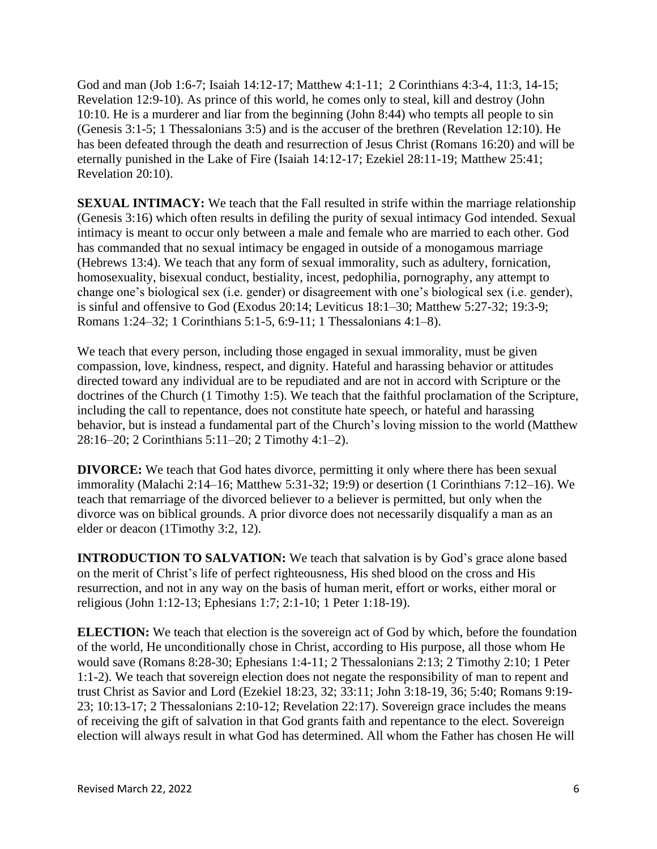God and man (Job 1:6-7; [Isaiah 14:12-17;](https://biblia.com/bible/esv/Isa%2014.13-14) [Matthew 4:1-11;](https://biblia.com/bible/esv/Matt%204.1-11) 2 Corinthians 4:3-4, 11:3, 14-15; [Revelation 12:9-10\)](https://biblia.com/bible/esv/Rev%2012.9-10). As prince of this world, he comes only to steal, kill and destroy (John 10:10. He is a murderer and liar from the beginning (John 8:44) who tempts all people to sin (Genesis 3:1-5; 1 Thessalonians 3:5) and is the accuser of the brethren (Revelation 12:10). He has been defeated through the death and resurrection of Jesus Christ [\(Romans 16:20\)](https://biblia.com/bible/esv/Rom%2016.20) and will be eternally punished in the Lake of Fire [\(Isaiah 14:12-17;](https://biblia.com/bible/esv/Isa%2014.12-17) [Ezekiel 28:11-19;](https://biblia.com/bible/esv/Ezek%2028.11-19) [Matthew 25:41;](https://biblia.com/bible/esv/Matt%2025.41) [Revelation 20:10\)](https://biblia.com/bible/esv/Rev%2020.10).

**SEXUAL INTIMACY:** We teach that the Fall resulted in strife within the marriage relationship (Genesis 3:16) which often results in defiling the purity of sexual intimacy God intended. Sexual intimacy is meant to occur only between a male and female who are married to each other. God has commanded that no sexual intimacy be engaged in outside of a monogamous marriage (Hebrews 13:4). We teach that any form of sexual immorality, such as adultery, fornication, homosexuality, bisexual conduct, bestiality, incest, pedophilia, pornography, any attempt to change one's biological sex (i.e. gender) or disagreement with one's biological sex (i.e. gender), is sinful and offensive to God (Exodus 20:14; Leviticus 18:1–30; Matthew 5:27-32; 19:3-9; Romans 1:24–32; 1 Corinthians 5:1-5, 6:9-11; 1 Thessalonians 4:1–8).

We teach that every person, including those engaged in sexual immorality, must be given compassion, love, kindness, respect, and dignity. Hateful and harassing behavior or attitudes directed toward any individual are to be repudiated and are not in accord with Scripture or the doctrines of the Church (1 Timothy 1:5). We teach that the faithful proclamation of the Scripture, including the call to repentance, does not constitute hate speech, or hateful and harassing behavior, but is instead a fundamental part of the Church's loving mission to the world (Matthew 28:16–20; 2 Corinthians 5:11–20; 2 Timothy 4:1–2).

**DIVORCE:** We teach that God hates divorce, permitting it only where there has been sexual immorality (Malachi 2:14–16; Matthew 5:31-32; 19:9) or desertion (1 Corinthians 7:12–16). We teach that remarriage of the divorced believer to a believer is permitted, but only when the divorce was on biblical grounds. A prior divorce does not necessarily disqualify a man as an elder or deacon (1Timothy 3:2, 12).

**INTRODUCTION TO SALVATION:** We teach that salvation is by God's grace alone based on the merit of Christ's life of perfect righteousness, His shed blood on the cross and His resurrection, and not in any way on the basis of human merit, effort or works, either moral or religious [\(John 1:12-](https://biblia.com/bible/esv/John%201.12)13; [Ephesians 1:7;](https://biblia.com/bible/esv/Eph%201.7) [2:1-10;](https://biblia.com/bible/esv/Ephesians%202.8-10) [1 Peter 1:18-19\)](https://biblia.com/bible/esv/1%20Pet%201.18-19).

**ELECTION:** We teach that election is the sovereign act of God by which, before the foundation of the world, He unconditionally chose in Christ, according to His purpose, all those whom He would save [\(Romans 8:28-30;](https://biblia.com/bible/esv/Rom%208.28-30) [Ephesians 1:4-11;](https://biblia.com/bible/esv/Eph%201.4-11) [2 Thessalonians 2:13;](https://biblia.com/bible/esv/2%20Thess%202.13) [2 Timothy 2:10;](https://biblia.com/bible/esv/2%20Tim%202.10) [1 Peter](https://biblia.com/bible/esv/1%20Pet%201.1-2)  [1:1-2\)](https://biblia.com/bible/esv/1%20Pet%201.1-2). We teach that sovereign election does not negate the responsibility of man to repent and trust Christ as Savior and Lord [\(Ezekiel 18:23,](https://biblia.com/bible/esv/Ezek%2018.23) [32;](https://biblia.com/bible/esv/Ezekiel%2018.32) [33:11;](https://biblia.com/bible/esv/Ezekiel%2033.11) [John 3:18-19,](https://biblia.com/bible/esv/John%203.18-19) [36;](https://biblia.com/bible/esv/John%203.36) [5:40;](https://biblia.com/bible/esv/John%205.40) [Romans 9:19-](https://biblia.com/bible/esv/Rom%209.22-23) [23;](https://biblia.com/bible/esv/Rom%209.22-23) 10:13-17; [2 Thessalonians 2:10-12;](https://biblia.com/bible/esv/2%20Thess%202.10-12) [Revelation 22:17\)](https://biblia.com/bible/esv/Rev%2022.17). Sovereign grace includes the means of receiving the gift of salvation in that God grants faith and repentance to the elect. Sovereign election will always result in what God has determined. All whom the Father has chosen He will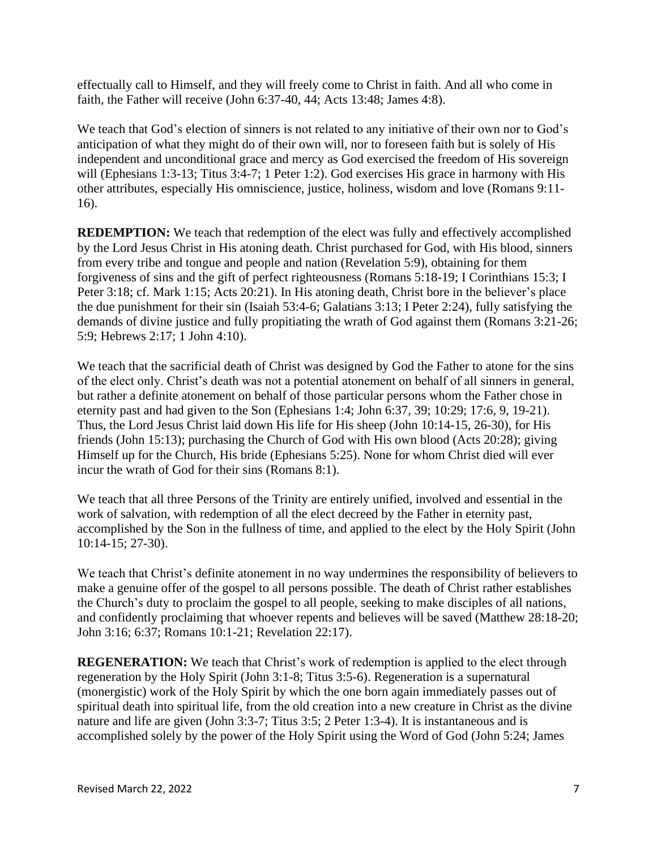effectually call to Himself, and they will freely come to Christ in faith. And all who come in faith, the Father will receive [\(John 6:37-40,](https://biblia.com/bible/esv/John%206.37-40) [44;](https://biblia.com/bible/esv/John%206.44) [Acts 13:48;](https://biblia.com/bible/esv/Acts%2013.48) [James 4:8\)](https://biblia.com/bible/esv/James%204.8).

We teach that God's election of sinners is not related to any initiative of their own nor to God's anticipation of what they might do of their own will, nor to foreseen faith but is solely of His independent and unconditional grace and mercy as God exercised the freedom of His sovereign will [\(Ephesians 1:3-13;](https://biblia.com/bible/esv/Eph%201.4-7) [Titus 3:4-7;](https://biblia.com/bible/esv/Titus%203.4-7) [1 Peter 1:2\)](https://biblia.com/bible/esv/1%20Pet%201.2). God exercises His grace in harmony with His other attributes, especially His omniscience, justice, holiness, wisdom and love [\(Romans 9:11-](https://biblia.com/bible/esv/Rom%209.11-16) [16\)](https://biblia.com/bible/esv/Rom%209.11-16).

**REDEMPTION:** We teach that redemption of the elect was fully and effectively accomplished by the Lord Jesus Christ in His atoning death. Christ purchased for God, with His blood, sinners from every tribe and tongue and people and nation (Revelation 5:9), obtaining for them forgiveness of sins and the gift of perfect righteousness (Romans 5:18-19; I Corinthians 15:3; I Peter 3:18; cf. Mark 1:15; Acts 20:21). In His atoning death, Christ bore in the believer's place the due punishment for their sin (Isaiah 53:4-6; Galatians 3:13; I Peter 2:24), fully satisfying the demands of divine justice and fully propitiating the wrath of God against them (Romans 3:21-26; 5:9; Hebrews 2:17; 1 John 4:10).

We teach that the sacrificial death of Christ was designed by God the Father to atone for the sins of the elect only. Christ's death was not a potential atonement on behalf of all sinners in general, but rather a definite atonement on behalf of those particular persons whom the Father chose in eternity past and had given to the Son (Ephesians 1:4; John 6:37, 39; 10:29; 17:6, 9, 19-21). Thus, the Lord Jesus Christ laid down His life for His sheep (John 10:14-15, 26-30), for His friends (John 15:13); purchasing the Church of God with His own blood (Acts 20:28); giving Himself up for the Church, His bride (Ephesians 5:25). None for whom Christ died will ever incur the wrath of God for their sins (Romans 8:1).

We teach that all three Persons of the Trinity are entirely unified, involved and essential in the work of salvation, with redemption of all the elect decreed by the Father in eternity past, accomplished by the Son in the fullness of time, and applied to the elect by the Holy Spirit (John 10:14-15; 27-30).

We teach that Christ's definite atonement in no way undermines the responsibility of believers to make a genuine offer of the gospel to all persons possible. The death of Christ rather establishes the Church's duty to proclaim the gospel to all people, seeking to make disciples of all nations, and confidently proclaiming that whoever repents and believes will be saved (Matthew 28:18-20; John 3:16; 6:37; Romans 10:1-21; Revelation 22:17).

**REGENERATION:** We teach that Christ's work of redemption is applied to the elect through regeneration by the Holy Spirit (John 3:1-8; Titus 3:5-6). Regeneration is a supernatural (monergistic) work of the Holy Spirit by which the one born again immediately passes out of spiritual death into spiritual life, from the old creation into a new creature in Christ as the divine nature and life are given [\(John 3:3-7;](https://biblia.com/bible/esv/John%203.3-7) [Titus 3:5;](https://biblia.com/bible/esv/Titus%203.5) 2 Peter 1:3-4). It is instantaneous and is accomplished solely by the power of the Holy Spirit using the Word of God [\(John 5:24;](https://biblia.com/bible/esv/John%205.24) James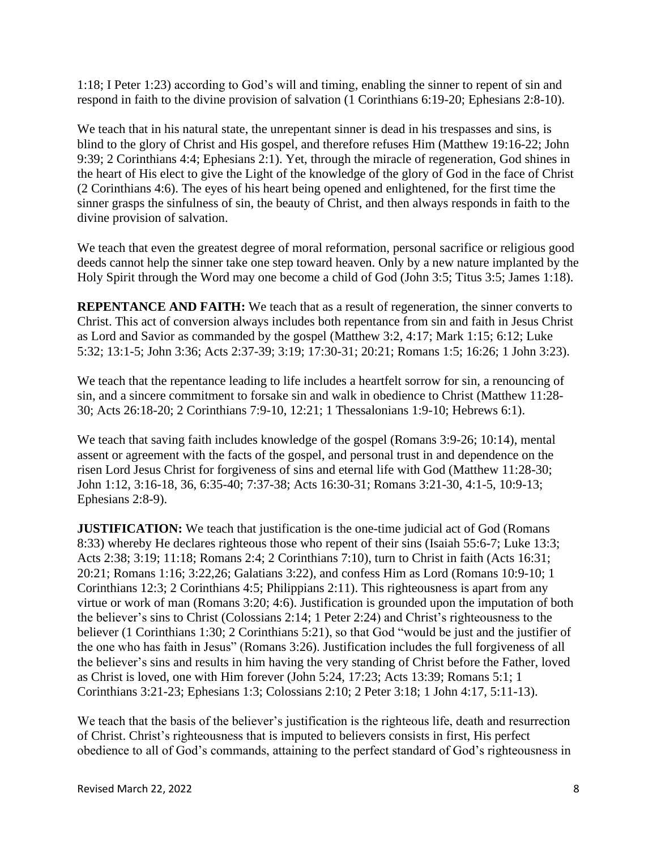1:18; I Peter 1:23) according to God's will and timing, enabling the sinner to repent of sin and respond in faith to the divine provision of salvation [\(1 Corinthians 6:19-20;](https://biblia.com/bible/esv/1%20Cor%206.19-20) [Ephesians 2:8-10\)](https://biblia.com/bible/esv/Eph%202.10).

We teach that in his natural state, the unrepentant sinner is dead in his trespasses and sins, is blind to the glory of Christ and His gospel, and therefore refuses Him (Matthew 19:16-22; John 9:39; 2 Corinthians 4:4; Ephesians 2:1). Yet, through the miracle of regeneration, God shines in the heart of His elect to give the Light of the knowledge of the glory of God in the face of Christ (2 Corinthians 4:6). The eyes of his heart being opened and enlightened, for the first time the sinner grasps the sinfulness of sin, the beauty of Christ, and then always responds in faith to the divine provision of salvation.

We teach that even the greatest degree of moral reformation, personal sacrifice or religious good deeds cannot help the sinner take one step toward heaven. Only by a new nature implanted by the Holy Spirit through the Word may one become a child of God (John 3:5; Titus 3:5; James 1:18).

**REPENTANCE AND FAITH:** We teach that as a result of regeneration, the sinner converts to Christ. This act of conversion always includes both repentance from sin and faith in Jesus Christ as Lord and Savior as commanded by the gospel (Matthew 3:2, 4:17; Mark 1:15; 6:12; Luke 5:32; 13:1-5; John 3:36; Acts 2:37-39; 3:19; 17:30-31; 20:21; Romans 1:5; 16:26; 1 John 3:23).

We teach that the repentance leading to life includes a heartfelt sorrow for sin, a renouncing of sin, and a sincere commitment to forsake sin and walk in obedience to Christ (Matthew 11:28- 30; Acts 26:18-20; 2 Corinthians 7:9-10, 12:21; 1 Thessalonians 1:9-10; Hebrews 6:1).

We teach that saving faith includes knowledge of the gospel (Romans 3:9-26; 10:14), mental assent or agreement with the facts of the gospel, and personal trust in and dependence on the risen Lord Jesus Christ for forgiveness of sins and eternal life with God (Matthew 11:28-30; John 1:12, 3:16-18, 36, 6:35-40; 7:37-38; Acts 16:30-31; Romans 3:21-30, 4:1-5, 10:9-13; Ephesians 2:8-9).

**JUSTIFICATION:** We teach that justification is the one-time judicial act of God (Romans [8:33\)](https://biblia.com/bible/esv/Rom%208.33) whereby He declares righteous those who repent of their sins (Isaiah 55:6-7; [Luke 13:3;](https://biblia.com/bible/esv/Luke%2013.3) [Acts 2:38;](https://biblia.com/bible/esv/Acts%202.38) [3:19;](https://biblia.com/bible/esv/Acts%203.19) [11:18;](https://biblia.com/bible/esv/Acts%2011.18) [Romans 2:4;](https://biblia.com/bible/esv/Rom%202.4) [2 Corinthians 7:10\)](https://biblia.com/bible/esv/2%20Cor%207.10), turn to Christ in faith (Acts 16:31; 20:21; Romans 1:16; 3:22,26; Galatians 3:22), and confess Him as Lord [\(Romans 10:9-10;](https://biblia.com/bible/esv/Rom%2010.9-10) [1](https://biblia.com/bible/esv/1%20Cor%2012.3)  [Corinthians 12:3;](https://biblia.com/bible/esv/1%20Cor%2012.3) [2 Corinthians 4:5;](https://biblia.com/bible/esv/2%20Cor%204.5) [Philippians 2:11\)](https://biblia.com/bible/esv/Phil%202.11). This righteousness is apart from any virtue or work of man [\(Romans 3:20;](https://biblia.com/bible/esv/Rom%203.20) [4:6\)](https://biblia.com/bible/esv/Romans%204.6). Justification is grounded upon the imputation of both the believer's sins to Christ [\(Colossians 2:14;](https://biblia.com/bible/esv/Col%202.14) [1 Peter 2:24\)](https://biblia.com/bible/esv/1%20Pet%202.24) and Christ's righteousness to the believer [\(1 Corinthians 1:30;](https://biblia.com/bible/esv/1%20Cor%201.30) [2 Corinthians 5:21\)](https://biblia.com/bible/esv/2%20Cor%205.21), so that God "would be just and the justifier of the one who has faith in Jesus" [\(Romans 3:26\)](https://biblia.com/bible/esv/Rom%203.26). Justification includes the full forgiveness of all the believer's sins and results in him having the very standing of Christ before the Father, loved as Christ is loved, one with Him forever (John 5:24, 17:23; Acts 13:39; Romans 5:1; 1 Corinthians 3:21-23; Ephesians 1:3; Colossians 2:10; 2 Peter 3:18; 1 John 4:17, 5:11-13).

We teach that the basis of the believer's justification is the righteous life, death and resurrection of Christ. Christ's righteousness that is imputed to believers consists in first, His perfect obedience to all of God's commands, attaining to the perfect standard of God's righteousness in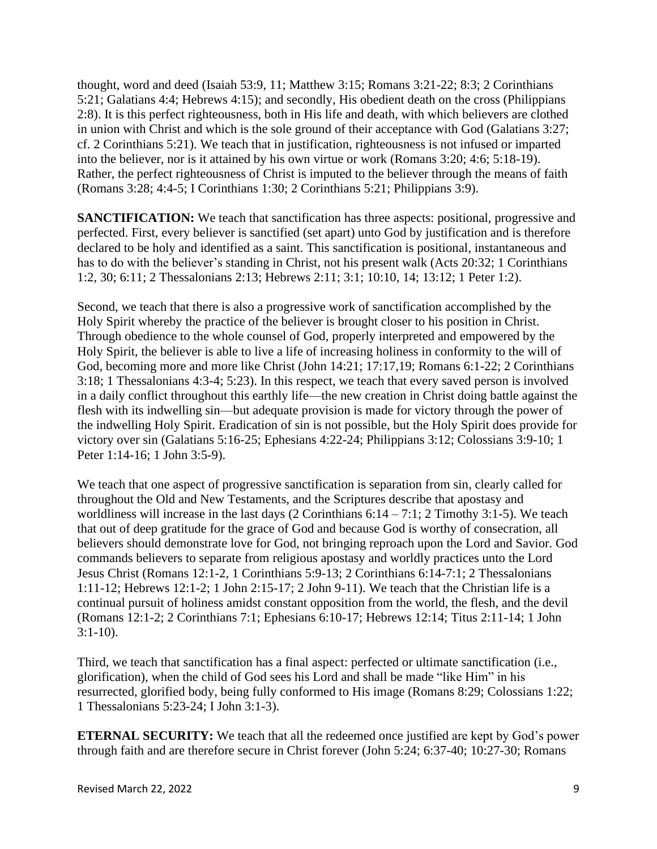thought, word and deed (Isaiah 53:9, 11; Matthew 3:15; Romans 3:21-22; 8:3; 2 Corinthians 5:21; Galatians 4:4; Hebrews 4:15); and secondly, His obedient death on the cross (Philippians 2:8). It is this perfect righteousness, both in His life and death, with which believers are clothed in union with Christ and which is the sole ground of their acceptance with God (Galatians 3:27; cf. 2 Corinthians 5:21). We teach that in justification, righteousness is not infused or imparted into the believer, nor is it attained by his own virtue or work (Romans 3:20; 4:6; 5:18-19). Rather, the perfect righteousness of Christ is imputed to the believer through the means of faith (Romans 3:28; 4:4-5; I Corinthians 1:30; 2 Corinthians 5:21; Philippians 3:9).

**SANCTIFICATION:** We teach that sanctification has three aspects: positional, progressive and perfected. First, every believer is sanctified (set apart) unto God by justification and is therefore declared to be holy and identified as a saint. This sanctification is positional, instantaneous and has to do with the believer's standing in Christ, not his present walk [\(Acts 20:32;](https://biblia.com/bible/esv/Acts%2020.32) [1 Corinthians](https://biblia.com/bible/esv/1%20Cor%201.2)  [1:2,](https://biblia.com/bible/esv/1%20Cor%201.2) [30;](https://biblia.com/bible/esv/1%20Corinthians%201.30) [6:11;](https://biblia.com/bible/esv/1%20Corinthians%206.11) [2 Thessalonians 2:13;](https://biblia.com/bible/esv/2%20Thess%202.13) [Hebrews 2:11;](https://biblia.com/bible/esv/Heb%202.11) [3:1;](https://biblia.com/bible/esv/Hebrews%203.1) [10:10,](https://biblia.com/bible/esv/Hebrews%2010.10) [14;](https://biblia.com/bible/esv/Hebrews%2010.14) [13:12;](https://biblia.com/bible/esv/Hebrews%2013.12) [1 Peter 1:2\)](https://biblia.com/bible/esv/1%20Pet%201.2).

Second, we teach that there is also a progressive work of sanctification accomplished by the Holy Spirit whereby the practice of the believer is brought closer to his position in Christ. Through obedience to the whole counsel of God, properly interpreted and empowered by the Holy Spirit, the believer is able to live a life of increasing holiness in conformity to the will of God, becoming more and more like Christ [\(John 14:21; 17:17](https://biblia.com/bible/esv/John%2017.17)[,19;](https://biblia.com/bible/esv/John%2017.19) [Romans 6:1-22;](https://biblia.com/bible/esv/Rom%206.1-22) [2 Corinthians](https://biblia.com/bible/esv/2%20Cor%203.18)  [3:18;](https://biblia.com/bible/esv/2%20Cor%203.18) [1 Thessalonians 4:3-4;](https://biblia.com/bible/esv/1%20Thess%204.3-4) [5:23\)](https://biblia.com/bible/esv/1%20Thessalonians%205.23). In this respect, we teach that every saved person is involved in a daily conflict throughout this earthly life—the new creation in Christ doing battle against the flesh with its indwelling sin—but adequate provision is made for victory through the power of the indwelling Holy Spirit. Eradication of sin is not possible, but the Holy Spirit does provide for victory over sin [\(Galatians 5:16-25;](https://biblia.com/bible/esv/Gal%205.16-25) [Ephesians 4:22-24;](https://biblia.com/bible/esv/Eph%204.22-24) [Philippians 3:12;](https://biblia.com/bible/esv/Phil%203.12) [Colossians 3:9-10;](https://biblia.com/bible/esv/Col%203.9-10) [1](https://biblia.com/bible/esv/1%20Pet%201.14-16)  [Peter 1:14-16;](https://biblia.com/bible/esv/1%20Pet%201.14-16) [1 John 3:5-9\)](https://biblia.com/bible/esv/1%20John%203.5-9).

We teach that one aspect of progressive sanctification is separation from sin, clearly called for throughout the Old and New Testaments, and the Scriptures describe that apostasy and worldliness will increase in the last days  $(2$  Corinthians  $6:14 - 7:1$ ;  $2$  Timothy  $3:1-5$ ). We teach that out of deep gratitude for the grace of God and because God is worthy of consecration, all believers should demonstrate love for God, not bringing reproach upon the Lord and Savior. God commands believers to separate from religious apostasy and worldly practices unto the Lord Jesus Christ [\(Romans 12:1-2,](https://biblia.com/bible/esv/Rom%2012.1-2) [1 Corinthians 5:9-13;](https://biblia.com/bible/esv/1%20Cor%205.9-13) [2 Corinthians 6:14-7:1;](https://biblia.com/bible/esv/2%20Cor%206.14-7.1) [2 Thessalonians](https://biblia.com/bible/esv/2%20Thess%201.11-12)  [1:11-12;](https://biblia.com/bible/esv/2%20Thess%201.11-12) [Hebrews 12:1-2;](https://biblia.com/bible/esv/Heb%2012.1-2) [1 John 2:15-17;](https://biblia.com/bible/esv/1%20John%202.15-17) [2 John 9-11\)](https://biblia.com/bible/esv/2%20John%209-11). We teach that the Christian life is a continual pursuit of holiness amidst constant opposition from the world, the flesh, and the devil [\(Romans 12:1-2;](https://biblia.com/bible/esv/Rom%2012.1-2) [2 Corinthians 7:1;](https://biblia.com/bible/esv/2%20Cor%207.1) Ephesians 6:10-17; [Hebrews 12:14;](https://biblia.com/bible/esv/Heb%2012.14) [Titus 2:11-14;](https://biblia.com/bible/esv/Titus%202.11-14) [1 John](https://biblia.com/bible/esv/1%20John%203.1-10)  [3:1-10\)](https://biblia.com/bible/esv/1%20John%203.1-10).

Third, we teach that sanctification has a final aspect: perfected or ultimate sanctification (i.e., glorification), when the child of God sees his Lord and shall be made "like Him" in his resurrected, glorified body, being fully conformed to His image (Romans 8:29; Colossians 1:22; 1 Thessalonians 5:23-24; I John 3:1-3).

**ETERNAL SECURITY:** We teach that all the redeemed once justified are kept by God's power through faith and are therefore secure in Christ forever [\(John 5:24;](https://biblia.com/bible/esv/John%205.24) [6:37-40;](https://biblia.com/bible/esv/John%206.37-40) [10:27-30;](https://biblia.com/bible/esv/John%2010.27-30) [Romans](https://biblia.com/bible/esv/Rom%205.9-10)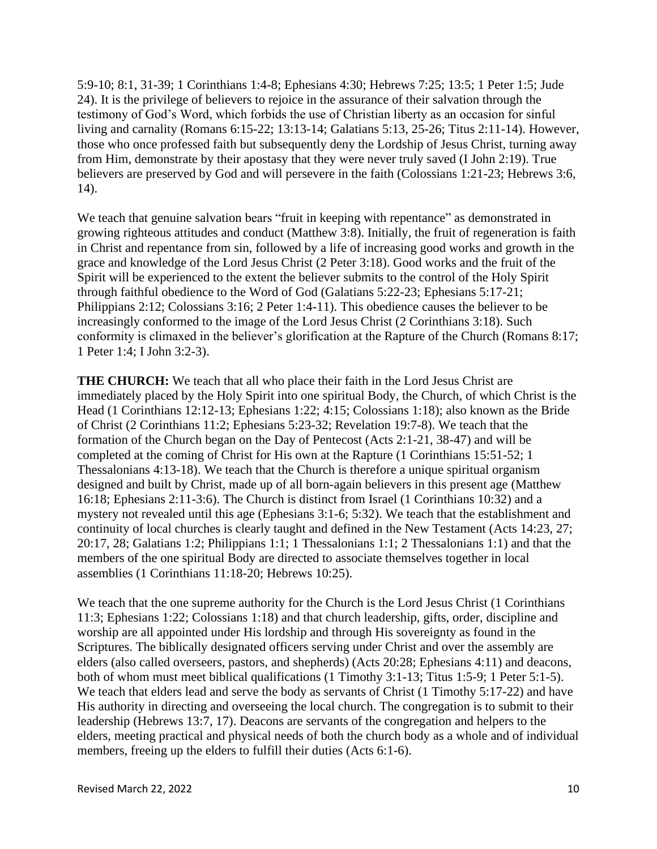[5:9-10;](https://biblia.com/bible/esv/Rom%205.9-10) [8:1,](https://biblia.com/bible/esv/Romans%208.1) [31-39;](https://biblia.com/bible/esv/Romans%208.31-39) [1 Corinthians 1:4-8;](https://biblia.com/bible/esv/1%20Cor%201.4-8) [Ephesians 4:30;](https://biblia.com/bible/esv/Eph%204.30) [Hebrews 7:25;](https://biblia.com/bible/esv/Heb%207.25) [13:5;](https://biblia.com/bible/esv/Hebrews%2013.5) [1 Peter 1:5;](https://biblia.com/bible/esv/1%20Pet%201.5) [Jude](https://biblia.com/bible/esv/Jude%2024)  [24\)](https://biblia.com/bible/esv/Jude%2024). It is the privilege of believers to rejoice in the assurance of their salvation through the testimony of God's Word, which forbids the use of Christian liberty as an occasion for sinful living and carnality [\(Romans 6:15-22;](https://biblia.com/bible/esv/Rom%206.15-22) [13:13-14;](https://biblia.com/bible/esv/Romans%2013.13-14) [Galatians 5:13,](https://biblia.com/bible/esv/Gal%205.13) [25-26;](https://biblia.com/bible/esv/Galatians%205.25-26) [Titus 2:11-14\)](https://biblia.com/bible/esv/Titus%202.11-14). However, those who once professed faith but subsequently deny the Lordship of Jesus Christ, turning away from Him, demonstrate by their apostasy that they were never truly saved (I John 2:19). True believers are preserved by God and will persevere in the faith (Colossians 1:21-23; Hebrews 3:6, 14).

We teach that genuine salvation bears "fruit in keeping with repentance" as demonstrated in growing righteous attitudes and conduct (Matthew 3:8). Initially, the fruit of regeneration is faith in Christ and repentance from sin, followed by a life of increasing good works and growth in the grace and knowledge of the Lord Jesus Christ (2 Peter 3:18). Good works and the fruit of the Spirit will be experienced to the extent the believer submits to the control of the Holy Spirit through faithful obedience to the Word of God (Galatians 5:22-23; Ephesians 5:17-21; Philippians 2:12; Colossians 3:16; 2 Peter 1:4-11). This obedience causes the believer to be increasingly conformed to the image of the Lord Jesus Christ (2 Corinthians 3:18). Such conformity is climaxed in the believer's glorification at the Rapture of the Church (Romans 8:17; 1 Peter 1:4; I John 3:2-3).

**THE CHURCH:** We teach that all who place their faith in the Lord Jesus Christ are immediately placed by the Holy Spirit into one spiritual Body, the Church, of which Christ is the Head [\(1 Corinthians 12:12-13;](https://biblia.com/bible/esv/1%20Cor%2012.12-13) [Ephesians 1:22;](https://biblia.com/bible/esv/Eph%201.22) [4:15;](https://biblia.com/bible/esv/Ephesians%204.15) [Colossians 1:18\)](https://biblia.com/bible/esv/Col%201.18); also known as the Bride of Christ [\(2 Corinthians 11:2;](https://biblia.com/bible/esv/2%20Cor%2011.2) [Ephesians 5:23-32;](https://biblia.com/bible/esv/Eph%205.23-32) [Revelation 19:7-8\)](https://biblia.com/bible/esv/Rev%2019.7-8). We teach that the formation of the Church began on the Day of Pentecost [\(Acts 2:1-21,](https://biblia.com/bible/esv/Acts%202.1-21) [38-47\)](https://biblia.com/bible/esv/Acts%202.38-47) and will be completed at the coming of Christ for His own at the Rapture [\(1 Corinthians 15:51-52;](https://biblia.com/bible/esv/1%20Cor%2015.51-52) [1](https://biblia.com/bible/esv/1%20Thess%204.13-18)  [Thessalonians 4:13-18\)](https://biblia.com/bible/esv/1%20Thess%204.13-18). We teach that the Church is therefore a unique spiritual organism designed and built by Christ, made up of all born-again believers in this present age (Matthew 16:18; [Ephesians 2:11-3:6\)](https://biblia.com/bible/esv/Eph%202.11-3.6). The Church is distinct from Israel [\(1 Corinthians 10:32\)](https://biblia.com/bible/esv/1%20Cor%2010.32) and a mystery not revealed until this age [\(Ephesians 3:1-6;](https://biblia.com/bible/esv/Eph%203.1-6) [5:32\)](https://biblia.com/bible/esv/Ephesians%205.32). We teach that the establishment and continuity of local churches is clearly taught and defined in the New Testament [\(Acts 14:23,](https://biblia.com/bible/esv/Acts%2014.23) [27;](https://biblia.com/bible/esv/Acts%2014.27) [20:17,](https://biblia.com/bible/esv/Acts%2020.17) [28;](https://biblia.com/bible/esv/Acts%2020.28) [Galatians 1:2;](https://biblia.com/bible/esv/Gal%201.2) [Philippians 1:1;](https://biblia.com/bible/esv/Phil%201.1) [1 Thessalonians 1:1;](https://biblia.com/bible/esv/1%20Thess%201.1) [2 Thessalonians 1:1\)](https://biblia.com/bible/esv/2%20Thess%201.1) and that the members of the one spiritual Body are directed to associate themselves together in local assemblies [\(1 Corinthians 11:18-20;](https://biblia.com/bible/esv/1%20Cor%2011.18-20) [Hebrews 10:25\)](https://biblia.com/bible/esv/Heb%2010.25).

We teach that the one supreme authority for the Church is the Lord Jesus Christ (1 Corinthians [11:3;](https://biblia.com/bible/esv/1%20Cor%2011.3) [Ephesians 1:22;](https://biblia.com/bible/esv/Eph%201.22) [Colossians 1:18\)](https://biblia.com/bible/esv/Col%201.18) and that church leadership, gifts, order, discipline and worship are all appointed under His lordship and through His sovereignty as found in the Scriptures. The biblically designated officers serving under Christ and over the assembly are elders (also called overseers, pastors, and shepherds) [\(Acts 20:28;](https://biblia.com/bible/esv/Acts%2020.28) [Ephesians 4:11\)](https://biblia.com/bible/esv/Eph%204.11) and deacons, both of whom must meet biblical qualifications [\(1 Timothy 3:1-13;](https://biblia.com/bible/esv/1%20Tim%203.1-13) [Titus 1:5-9;](https://biblia.com/bible/esv/Titus%201.5-9) [1 Peter 5:1-5\)](https://biblia.com/bible/esv/1%20Pet%205.1-5). We teach that elders lead and serve the body as servants of Christ [\(1 Timothy 5:17-22\)](https://biblia.com/bible/esv/1%20Tim%205.17-22) and have His authority in directing and overseeing the local church. The congregation is to submit to their leadership [\(Hebrews 13:7,](https://biblia.com/bible/esv/Heb%2013.7) [17\)](https://biblia.com/bible/esv/Hebrews%2013.17). Deacons are servants of the congregation and helpers to the elders, meeting practical and physical needs of both the church body as a whole and of individual members, freeing up the elders to fulfill their duties (Acts 6:1-6).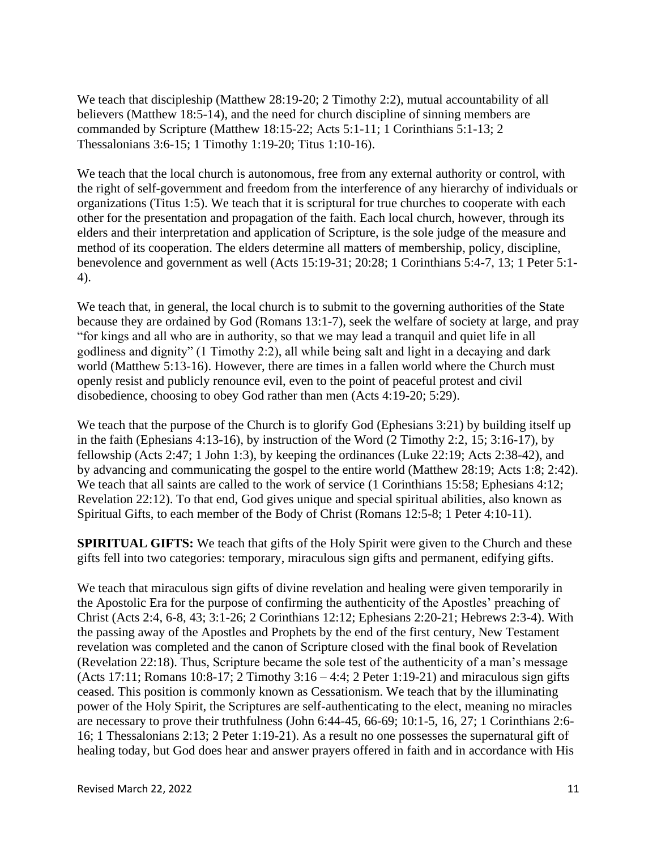We teach that discipleship [\(Matthew 28:19-20;](https://biblia.com/bible/esv/Matt%2028.19-20) [2 Timothy 2:2\)](https://biblia.com/bible/esv/2%20Tim%202.2), mutual accountability of all believers [\(Matthew 18:5-14\)](https://biblia.com/bible/esv/Matt%2018.5-14), and the need for church discipline of sinning members are commanded by Scripture [\(Matthew 18:15-22;](https://biblia.com/bible/esv/Matt%2018.15-22) [Acts 5:1-11;](https://biblia.com/bible/esv/Acts%205.1-11) [1 Corinthians 5:1-13;](https://biblia.com/bible/esv/1%20Cor%205.1-13) [2](https://biblia.com/bible/esv/2%20Thess%203.6-15)  [Thessalonians 3:6-15;](https://biblia.com/bible/esv/2%20Thess%203.6-15) [1 Timothy 1:19-20;](https://biblia.com/bible/esv/1%20Tim%201.19-20) [Titus 1:10-16\)](https://biblia.com/bible/esv/Titus%201.10-16).

We teach that the local church is autonomous, free from any external authority or control, with the right of self-government and freedom from the interference of any hierarchy of individuals or organizations [\(Titus 1:5\)](https://biblia.com/bible/esv/Titus%201.5). We teach that it is scriptural for true churches to cooperate with each other for the presentation and propagation of the faith. Each local church, however, through its elders and their interpretation and application of Scripture, is the sole judge of the measure and method of its cooperation. The elders determine all matters of membership, policy, discipline, benevolence and government as well [\(Acts 15:19-31;](https://biblia.com/bible/esv/Acts%2015.19-31) [20:28;](https://biblia.com/bible/esv/Acts%2020.28) [1 Corinthians 5:4-7,](https://biblia.com/bible/esv/1%20Cor%205.4-7) [13;](https://biblia.com/bible/esv/1%20Corinthians%205.13) [1 Peter 5:1-](https://biblia.com/bible/esv/1%20Pet%205.1-4) [4\)](https://biblia.com/bible/esv/1%20Pet%205.1-4).

We teach that, in general, the local church is to submit to the governing authorities of the State because they are ordained by God (Romans 13:1-7), seek the welfare of society at large, and pray "for kings and all who are in authority, so that we may lead a tranquil and quiet life in all godliness and dignity" (1 Timothy 2:2), all while being salt and light in a decaying and dark world (Matthew 5:13-16). However, there are times in a fallen world where the Church must openly resist and publicly renounce evil, even to the point of peaceful protest and civil disobedience, choosing to obey God rather than men (Acts 4:19-20; 5:29).

We teach that the purpose of the Church is to glorify God [\(Ephesians 3:21\)](https://biblia.com/bible/esv/Eph%203.21) by building itself up in the faith [\(Ephesians 4:13-16\)](https://biblia.com/bible/esv/Eph%204.13-16), by instruction of the Word [\(2 Timothy 2:2,](https://biblia.com/bible/esv/2%20Tim%202.2) [15;](https://biblia.com/bible/esv/2%20Timothy%202.15) [3:16-17\)](https://biblia.com/bible/esv/2%20Timothy%203.16-17), by fellowship [\(Acts 2:47;](https://biblia.com/bible/esv/Acts%202.47) [1 John 1:3\)](https://biblia.com/bible/esv/1%20John%201.3), by keeping the ordinances [\(Luke 22:19;](https://biblia.com/bible/esv/Luke%2022.19) [Acts 2:38-42\)](https://biblia.com/bible/esv/Acts%202.38-42), and by advancing and communicating the gospel to the entire world [\(Matthew 28:19;](https://biblia.com/bible/esv/Matt%2028.19) [Acts 1:8;](https://biblia.com/bible/esv/Acts%201.8) [2:42\)](https://biblia.com/bible/esv/Acts%202.42). We teach that all saints are called to the work of service [\(1 Corinthians 15:58;](https://biblia.com/bible/esv/1%20Cor%2015.58) [Ephesians 4:12;](https://biblia.com/bible/esv/Eph%204.12) [Revelation 22:12\)](https://biblia.com/bible/esv/Rev%2022.12). To that end, God gives unique and special spiritual abilities, also known as Spiritual Gifts, to each member of the Body of Christ [\(Romans 12:5-8;](https://biblia.com/bible/esv/Rom%2012.5-8) [1 Peter 4:10-11\)](https://biblia.com/bible/esv/1%20Pet%204.10-11).

**SPIRITUAL GIFTS:** We teach that gifts of the Holy Spirit were given to the Church and these gifts fell into two categories: temporary, miraculous sign gifts and permanent, edifying gifts.

We teach that miraculous sign gifts of divine revelation and healing were given temporarily in the Apostolic Era for the purpose of confirming the authenticity of the Apostles' preaching of Christ (Acts 2:4, 6-8, 43; 3:1-26; [2 Corinthians 12:12;](https://biblia.com/bible/esv/2%20Cor%2012.12) Ephesians 2:20-21; Hebrews 2:3-4). With the passing away of the Apostles and Prophets by the end of the first century, New Testament revelation was completed and the canon of Scripture closed with the final book of Revelation (Revelation 22:18). Thus, Scripture became the sole test of the authenticity of a man's message (Acts 17:11; Romans 10:8-17; 2 Timothy 3:16 – 4:4; 2 Peter 1:19-21) and miraculous sign gifts ceased. This position is commonly known as Cessationism. We teach that by the illuminating power of the Holy Spirit, the Scriptures are self-authenticating to the elect, meaning no miracles are necessary to prove their truthfulness (John 6:44-45, 66-69; 10:1-5, 16, 27; 1 Corinthians 2:6- 16; 1 Thessalonians 2:13; 2 Peter 1:19-21). As a result no one possesses the supernatural gift of healing today, but God does hear and answer prayers offered in faith and in accordance with His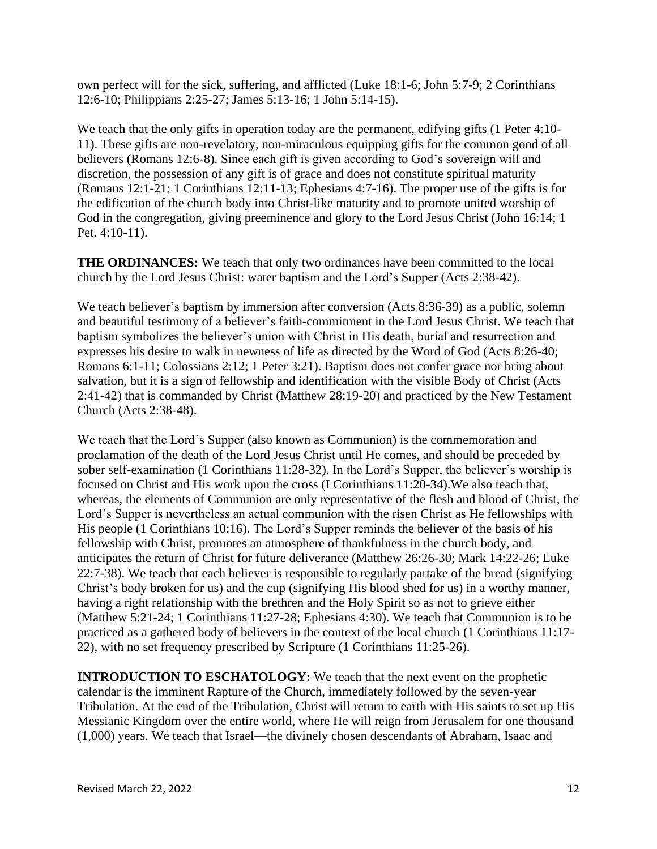own perfect will for the sick, suffering, and afflicted [\(Luke 18:1-6;](https://biblia.com/bible/esv/Luke%2018.1-6) [John 5:7-9;](https://biblia.com/bible/esv/John%205.7-9) [2 Corinthians](https://biblia.com/bible/esv/2%20Cor%2012.6-10)  [12:6-10;](https://biblia.com/bible/esv/2%20Cor%2012.6-10) Philippians 2:25-27; [James 5:13-16;](https://biblia.com/bible/esv/James%205.13-16) [1 John 5:14-15\)](https://biblia.com/bible/esv/1%20John%205.14-15).

We teach that the only gifts in operation today are the permanent, edifying gifts (1 Peter 4:10-11). These gifts are non-revelatory, non-miraculous equipping gifts for the common good of all believers [\(Romans 12:6-8\)](https://biblia.com/bible/esv/Rom%2012.6-8). Since each gift is given according to God's sovereign will and discretion, the possession of any gift is of grace and does not constitute spiritual maturity (Romans 12:1-21; 1 Corinthians 12:11-13; Ephesians 4:7-16). The proper use of the gifts is for the edification of the church body into Christ-like maturity and to promote united worship of God in the congregation, giving preeminence and glory to the Lord Jesus Christ (John 16:14; 1 Pet. 4:10-11).

**THE ORDINANCES:** We teach that only two ordinances have been committed to the local church by the Lord Jesus Christ: water baptism and the Lord's Supper [\(Acts 2:38-42\)](https://biblia.com/bible/esv/Acts%202.38-42).

We teach believer's baptism by immersion after conversion [\(Acts 8:36-39\)](https://biblia.com/bible/esv/Acts%208.36-39) as a public, solemn and beautiful testimony of a believer's faith-commitment in the Lord Jesus Christ. We teach that baptism symbolizes the believer's union with Christ in His death, burial and resurrection and expresses his desire to walk in newness of life as directed by the Word of God (Acts 8:26-40; [Romans 6:1-11;](https://biblia.com/bible/esv/Rom%206.1-11) Colossians 2:12; 1 Peter 3:21). Baptism does not confer grace nor bring about salvation, but it is a sign of fellowship and identification with the visible Body of Christ [\(Acts](https://biblia.com/bible/esv/Acts%202.41-42)  [2:41-42\)](https://biblia.com/bible/esv/Acts%202.41-42) that is commanded by Christ (Matthew 28:19-20) and practiced by the New Testament Church (Acts 2:38-48).

We teach that the Lord's Supper (also known as Communion) is the commemoration and proclamation of the death of the Lord Jesus Christ until He comes, and should be preceded by sober self-examination [\(1 Corinthians 11:28-32\)](https://biblia.com/bible/esv/1%20Cor%2011.28-32). In the Lord's Supper, the believer's worship is focused on Christ and His work upon the cross (I Corinthians 11:20-34).We also teach that, whereas, the elements of Communion are only representative of the flesh and blood of Christ, the Lord's Supper is nevertheless an actual communion with the risen Christ as He fellowships with His people [\(1 Corinthians 10:16\)](https://biblia.com/bible/esv/1%20Cor%2010.16). The Lord's Supper reminds the believer of the basis of his fellowship with Christ, promotes an atmosphere of thankfulness in the church body, and anticipates the return of Christ for future deliverance (Matthew 26:26-30; Mark 14:22-26; Luke 22:7-38). We teach that each believer is responsible to regularly partake of the bread (signifying Christ's body broken for us) and the cup (signifying His blood shed for us) in a worthy manner, having a right relationship with the brethren and the Holy Spirit so as not to grieve either (Matthew 5:21-24; 1 Corinthians 11:27-28; Ephesians 4:30). We teach that Communion is to be practiced as a gathered body of believers in the context of the local church (1 Corinthians 11:17- 22), with no set frequency prescribed by Scripture (1 Corinthians 11:25-26).

**INTRODUCTION TO ESCHATOLOGY:** We teach that the next event on the prophetic calendar is the imminent Rapture of the Church, immediately followed by the seven-year Tribulation. At the end of the Tribulation, Christ will return to earth with His saints to set up His Messianic Kingdom over the entire world, where He will reign from Jerusalem for one thousand (1,000) years. We teach that Israel—the divinely chosen descendants of Abraham, Isaac and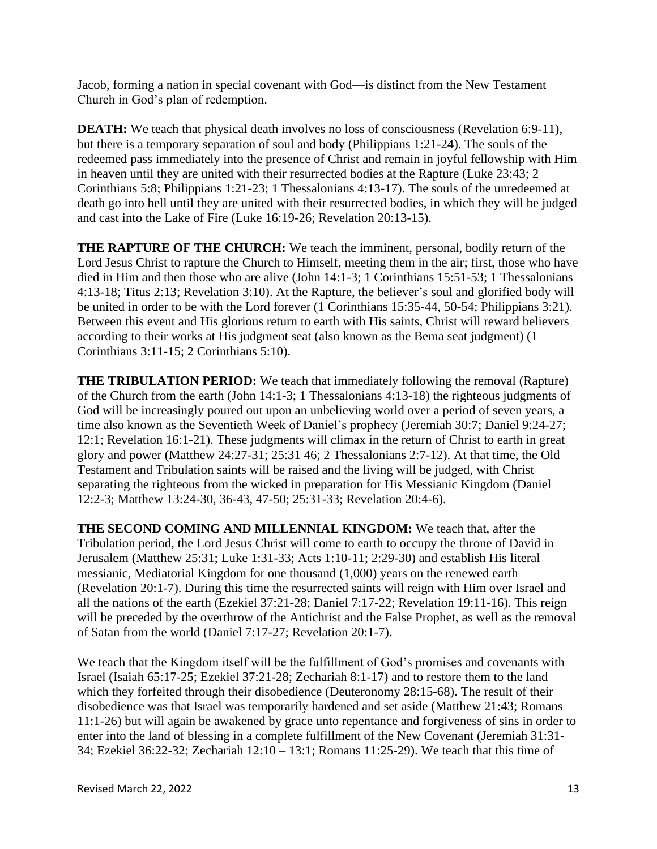Jacob, forming a nation in special covenant with God—is distinct from the New Testament Church in God's plan of redemption.

**DEATH:** We teach that physical death involves no loss of consciousness [\(Revelation 6:9-11\)](https://biblia.com/bible/esv/Rev%206.9-11), but there is a temporary separation of soul and body (Philippians 1:21-24). The souls of the redeemed pass immediately into the presence of Christ and remain in joyful fellowship with Him in heaven until they are united with their resurrected bodies at the Rapture [\(Luke 23:43;](https://biblia.com/bible/esv/Luke%2023.43) 2 Corinthians 5:8; [Philippians 1:21-23;](https://biblia.com/bible/esv/Phil%201.23) 1 Thessalonians 4:13-17). The souls of the unredeemed at death go into hell until they are united with their resurrected bodies, in which they will be judged and cast into the Lake of Fire [\(Luke 16:19-26;](https://biblia.com/bible/esv/Luke%2016.19-26) [Revelation 20:13-15\)](https://biblia.com/bible/esv/Rev%2020.13-15).

**THE RAPTURE OF THE CHURCH:** We teach the imminent, personal, bodily return of the Lord Jesus Christ to rapture the Church to Himself, meeting them in the air; first, those who have died in Him and then those who are alive (John 14:1-3; 1 Corinthians 15:51-53; 1 Thessalonians 4:13-18; Titus 2:13; Revelation 3:10). At the Rapture, the believer's soul and glorified body will be united in order to be with the Lord forever [\(1 Corinthians 15:35-44,](https://biblia.com/bible/esv/1%20Cor%2015.35-44) [50-54;](https://biblia.com/bible/esv/1%20Corinthians%2015.50-54) Philippians 3:21). Between this event and His glorious return to earth with His saints, Christ will reward believers according to their works at His judgment seat (also known as the Bema seat judgment) [\(1](https://biblia.com/bible/esv/1%20Cor%203.11-15)  [Corinthians 3:11-15;](https://biblia.com/bible/esv/1%20Cor%203.11-15) [2 Corinthians 5:10\)](https://biblia.com/bible/esv/2%20Cor%205.10).

**THE TRIBULATION PERIOD:** We teach that immediately following the removal (Rapture) of the Church from the earth [\(John 14:1-3;](https://biblia.com/bible/esv/John%2014.1-3) [1 Thessalonians 4:13-18\)](https://biblia.com/bible/esv/1%20Thess%204.13-18) the righteous judgments of God will be increasingly poured out upon an unbelieving world over a period of seven years, a time also known as the Seventieth Week of Daniel's prophecy [\(Jeremiah 30:7;](https://biblia.com/bible/esv/Jer%2030.7) [Daniel 9:24-27;](https://biblia.com/bible/esv/Dan%209.27) [12:1;](https://biblia.com/bible/esv/Daniel%2012.1) Revelation 16:1-21). These judgments will climax in the return of Christ to earth in great glory and power [\(Matthew 24:27-31;](https://biblia.com/bible/esv/Matt%2024.27-31) [25:31](https://biblia.com/bible/esv/Matthew%2025.31) [46;](https://biblia.com/bible/esv/Matthew%2025.46) [2 Thessalonians 2:7-12\)](https://biblia.com/bible/esv/2%20Thess%202.7-12). At that time, the Old Testament and Tribulation saints will be raised and the living will be judged, with Christ separating the righteous from the wicked in preparation for His Messianic Kingdom [\(Daniel](https://biblia.com/bible/esv/Dan%2012.2-3)  [12:2-3;](https://biblia.com/bible/esv/Dan%2012.2-3) Matthew 13:24-30, 36-43, 47-50; 25:31-33; [Revelation 20:4-6\)](https://biblia.com/bible/esv/Rev%2020.4-6).

**THE SECOND COMING AND MILLENNIAL KINGDOM:** We teach that, after the Tribulation period, the Lord Jesus Christ will come to earth to occupy the throne of David in Jerusalem [\(Matthew 25:31;](https://biblia.com/bible/esv/Matt%2025.31) [Luke 1:31-33;](https://biblia.com/bible/esv/Luke%201.31-33) [Acts 1:10-11;](https://biblia.com/bible/esv/Acts%201.10-11) [2:29-30\)](https://biblia.com/bible/esv/Acts%202.29-30) and establish His literal messianic, Mediatorial Kingdom for one thousand (1,000) years on the renewed earth [\(Revelation 20:1-7\)](https://biblia.com/bible/esv/Rev%2020.1-7). During this time the resurrected saints will reign with Him over Israel and all the nations of the earth [\(Ezekiel 37:21-28;](https://biblia.com/bible/esv/Ezek%2037.21-28) [Daniel 7:17-22;](https://biblia.com/bible/esv/Dan%207.17-22) [Revelation 19:11-16\)](https://biblia.com/bible/esv/Rev%2019.11-16). This reign will be preceded by the overthrow of the Antichrist and the False Prophet, as well as the removal of Satan from the world [\(Daniel 7:17-27;](https://biblia.com/bible/esv/Dan%207.17-27) [Revelation 20:1-7\)](https://biblia.com/bible/esv/Rev%2020.1-7).

We teach that the Kingdom itself will be the fulfillment of God's promises and covenants with Israel [\(Isaiah 65:17-25;](https://biblia.com/bible/esv/Isa%2065.17-25) [Ezekiel 37:21-28;](https://biblia.com/bible/esv/Ezek%2037.21-28) [Zechariah 8:1-17\)](https://biblia.com/bible/esv/Zech%208.1-17) and to restore them to the land which they forfeited through their disobedience [\(Deuteronomy 28:15-68\)](https://biblia.com/bible/esv/Deut%2028.15-68). The result of their disobedience was that Israel was temporarily hardened and set aside [\(Matthew 21:43;](https://biblia.com/bible/esv/Matt%2021.43) [Romans](https://biblia.com/bible/esv/Rom%2011.1-26)  [11:1-26\)](https://biblia.com/bible/esv/Rom%2011.1-26) but will again be awakened by grace unto repentance and forgiveness of sins in order to enter into the land of blessing in a complete fulfillment of the New Covenant [\(Jeremiah 31:31-](https://biblia.com/bible/esv/Jer%2031.31-34) [34;](https://biblia.com/bible/esv/Jer%2031.31-34) [Ezekiel 36:22-32;](https://biblia.com/bible/esv/Ezek%2036.22-32) Zechariah 12:10 – 13:1; [Romans 11:25-29\)](https://biblia.com/bible/esv/Rom%2011.25-29). We teach that this time of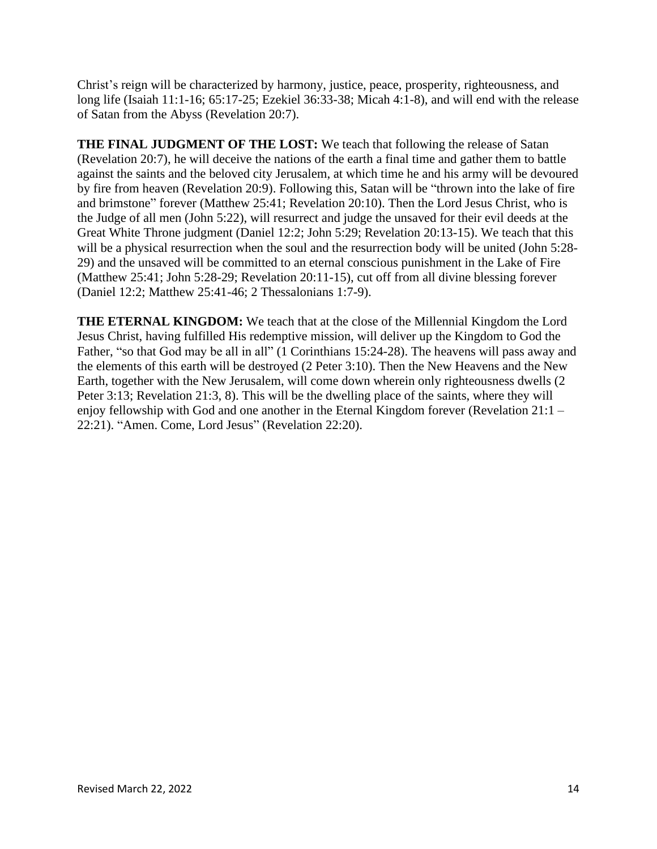Christ's reign will be characterized by harmony, justice, peace, prosperity, righteousness, and long life (Isaiah 11:1-16; 65:17-25; [Ezekiel 36:33-38;](https://biblia.com/bible/esv/Ezek%2036.33-38) Micah 4:1-8), and will end with the release of Satan from the Abyss [\(Revelation 20:7\)](https://biblia.com/bible/esv/Rev%2020.7).

**THE FINAL JUDGMENT OF THE LOST:** We teach that following the release of Satan [\(Revelation 20:7\)](https://biblia.com/bible/esv/Rev%2020.7), he will deceive the nations of the earth a final time and gather them to battle against the saints and the beloved city Jerusalem, at which time he and his army will be devoured by fire from heaven [\(Revelation 20:9\)](https://biblia.com/bible/esv/Rev%2020.9). Following this, Satan will be "thrown into the lake of fire and brimstone" forever [\(Matthew 25:41;](https://biblia.com/bible/esv/Matt%2025.41) [Revelation 20:10\)](https://biblia.com/bible/esv/Rev%2020.10). Then the Lord Jesus Christ, who is the Judge of all men [\(John 5:22\)](https://biblia.com/bible/esv/John%205.22), will resurrect and judge the unsaved for their evil deeds at the Great White Throne judgment [\(Daniel 12:2;](https://biblia.com/bible/esv/Dan%2012.2) [John 5:29;](https://biblia.com/bible/esv/John%205.29) [Revelation 20:13-15\)](https://biblia.com/bible/esv/Rev%2020.13-15). We teach that this will be a physical resurrection when the soul and the resurrection body will be united (John 5:28-29) and the unsaved will be committed to an eternal conscious punishment in the Lake of Fire [\(Matthew 25:41;](https://biblia.com/bible/esv/Matt%2025.41) John 5:28-29; [Revelation 20:11-15\)](https://biblia.com/bible/esv/Rev%2020.11-15), cut off from all divine blessing forever [\(Daniel 12:2;](https://biblia.com/bible/esv/Dan%2012.2) [Matthew 25:41-46;](https://biblia.com/bible/esv/Matt%2025.41-46) [2 Thessalonians 1:7-9\)](https://biblia.com/bible/esv/2%20Thess%201.7-9).

**THE ETERNAL KINGDOM:** We teach that at the close of the Millennial Kingdom the Lord Jesus Christ, having fulfilled His redemptive mission, will deliver up the Kingdom to God the Father, "so that God may be all in all" [\(1 Corinthians 15:24-28\)](https://biblia.com/bible/esv/1%20Cor%2015.24-28). The heavens will pass away and the elements of this earth will be destroyed [\(2 Peter 3:10\)](https://biblia.com/bible/esv/2%20Pet%203.10). Then the New Heavens and the New Earth, together with the New Jerusalem, will come down wherein only righteousness dwells (2 Peter 3:13; Revelation 21:3, 8). This will be the dwelling place of the saints, where they will enjoy fellowship with God and one another in the Eternal Kingdom forever (Revelation 21:1 – 22:21). "Amen. Come, Lord Jesus" (Revelation 22:20).